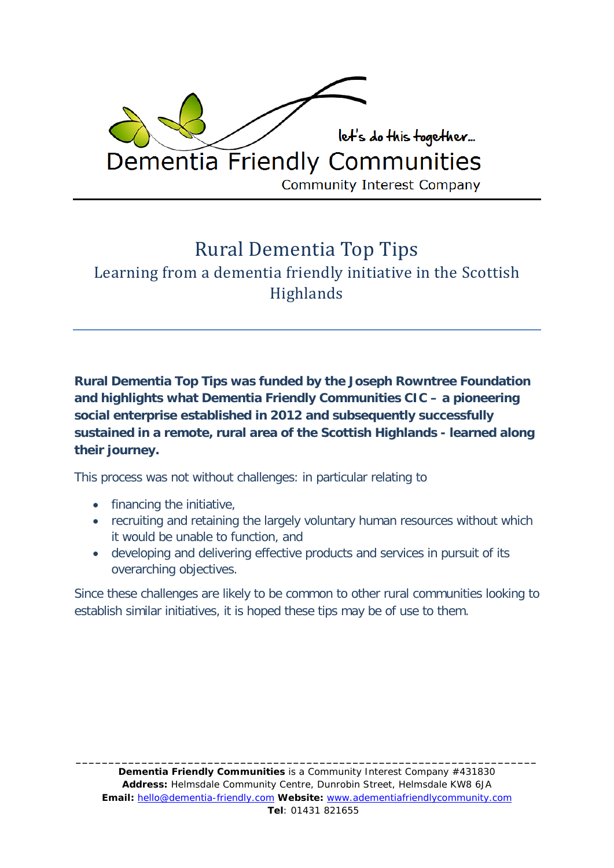

# Rural Dementia Top Tips Learning from a dementia friendly initiative in the Scottish **Highlands**

**Rural Dementia Top Tips was funded by the Joseph Rowntree Foundation and highlights what Dementia Friendly Communities CIC – a pioneering social enterprise established in 2012 and subsequently successfully sustained in a remote, rural area of the Scottish Highlands - learned along their journey.**

This process was not without challenges: in particular relating to

- financing the initiative,
- recruiting and retaining the largely voluntary human resources without which it would be unable to function, and
- developing and delivering effective products and services in pursuit of its overarching objectives.

Since these challenges are likely to be common to other rural communities looking to establish similar initiatives, it is hoped these tips may be of use to them.

*\_\_\_\_\_\_\_\_\_\_\_\_\_\_\_\_\_\_\_\_\_\_\_\_\_\_\_\_\_\_\_\_\_\_\_\_\_\_\_\_\_\_\_\_\_\_\_\_\_\_\_\_\_\_\_\_\_\_\_\_\_\_\_\_\_\_\_\_\_\_*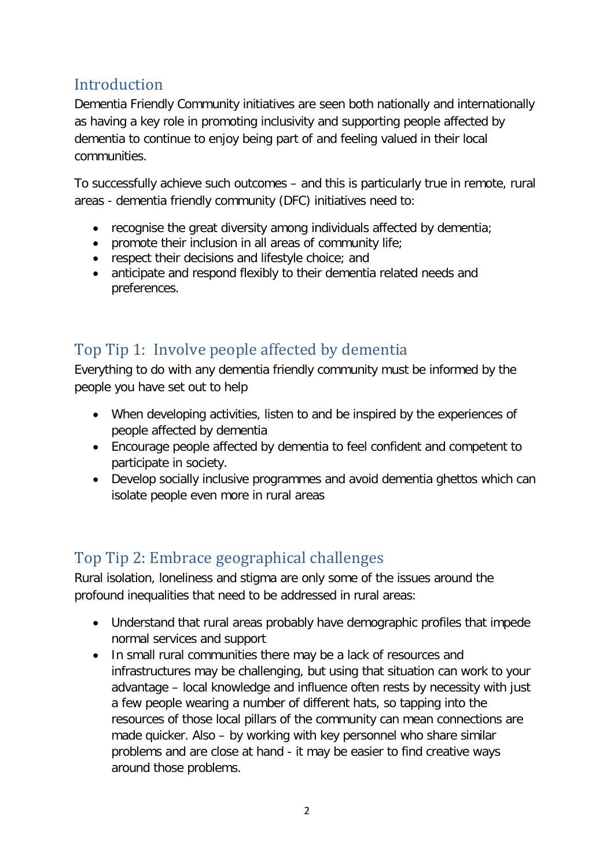### **Introduction**

Dementia Friendly Community initiatives are seen both nationally and internationally as having a key role in promoting inclusivity and supporting people affected by dementia to continue to enjoy being part of and feeling valued in their local communities.

To successfully achieve such outcomes – and this is particularly true in remote, rural areas - dementia friendly community (DFC) initiatives need to:

- recognise the great diversity among individuals affected by dementia;
- promote their inclusion in all areas of community life;
- respect their decisions and lifestyle choice; and
- anticipate and respond flexibly to their dementia related needs and preferences.

### Top Tip 1: Involve people affected by dementia

Everything to do with any dementia friendly community must be informed by the people you have set out to help

- When developing activities, listen to and be inspired by the experiences of people affected by dementia
- Encourage people affected by dementia to feel confident and competent to participate in society.
- Develop socially inclusive programmes and avoid dementia ghettos which can isolate people even more in rural areas

#### Top Tip 2: Embrace geographical challenges

Rural isolation, loneliness and stigma are only some of the issues around the profound inequalities that need to be addressed in rural areas:

- Understand that rural areas probably have demographic profiles that impede normal services and support
- In small rural communities there may be a lack of resources and infrastructures may be challenging, but using that situation can work to your advantage – local knowledge and influence often rests by necessity with just a few people wearing a number of different hats, so tapping into the resources of those local pillars of the community can mean connections are made quicker. Also – by working with key personnel who share similar problems and are close at hand - it may be easier to find creative ways around those problems.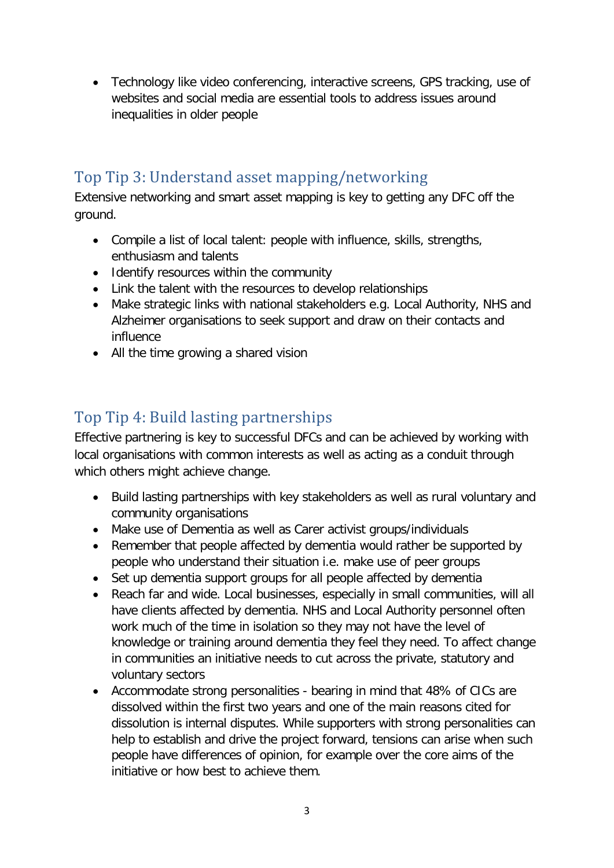• Technology like video conferencing, interactive screens, GPS tracking, use of websites and social media are essential tools to address issues around inequalities in older people

#### Top Tip 3: Understand asset mapping/networking

Extensive networking and smart asset mapping is key to getting any DFC off the ground.

- Compile a list of local talent: people with influence, skills, strengths, enthusiasm and talents
- Identify resources within the community
- Link the talent with the resources to develop relationships
- Make strategic links with national stakeholders e.g. Local Authority, NHS and Alzheimer organisations to seek support and draw on their contacts and influence
- All the time growing a shared vision

### Top Tip 4: Build lasting partnerships

Effective partnering is key to successful DFCs and can be achieved by working with local organisations with common interests as well as acting as a conduit through which others might achieve change.

- Build lasting partnerships with key stakeholders as well as rural voluntary and community organisations
- Make use of Dementia as well as Carer activist groups/individuals
- Remember that people affected by dementia would rather be supported by people who understand their situation i.e. make use of peer groups
- Set up dementia support groups for all people affected by dementia
- Reach far and wide. Local businesses, especially in small communities, will all have clients affected by dementia. NHS and Local Authority personnel often work much of the time in isolation so they may not have the level of knowledge or training around dementia they feel they need. To affect change in communities an initiative needs to cut across the private, statutory and voluntary sectors
- Accommodate strong personalities bearing in mind that 48% of CICs are dissolved within the first two years and one of the main reasons cited for dissolution is internal disputes. While supporters with strong personalities can help to establish and drive the project forward, tensions can arise when such people have differences of opinion, for example over the core aims of the initiative or how best to achieve them.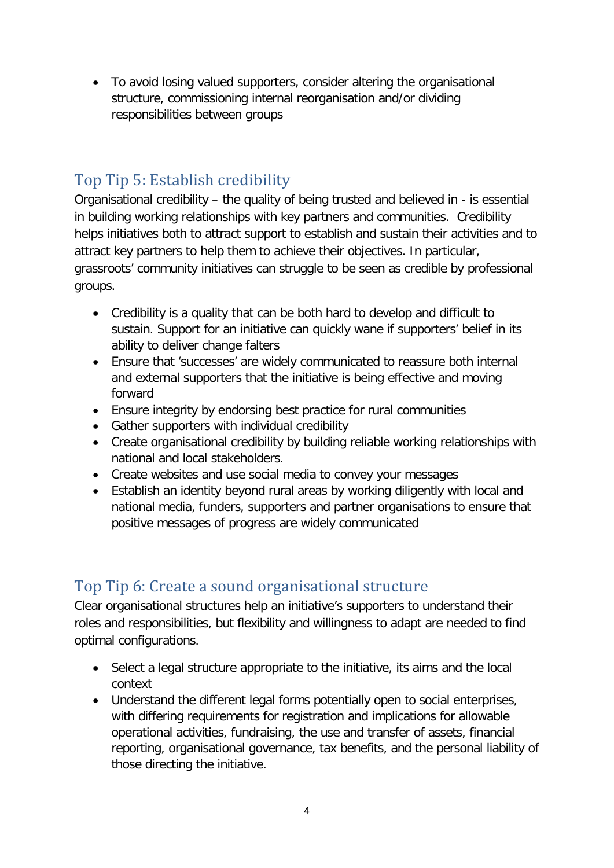• To avoid losing valued supporters, consider altering the organisational structure, commissioning internal reorganisation and/or dividing responsibilities between groups

#### Top Tip 5: Establish credibility

Organisational credibility – the quality of being trusted and believed in - is essential in building working relationships with key partners and communities. Credibility helps initiatives both to attract support to establish and sustain their activities and to attract key partners to help them to achieve their objectives. In particular, grassroots' community initiatives can struggle to be seen as credible by professional groups.

- Credibility is a quality that can be both hard to develop and difficult to sustain. Support for an initiative can quickly wane if supporters' belief in its ability to deliver change falters
- Ensure that 'successes' are widely communicated to reassure both internal and external supporters that the initiative is being effective and moving forward
- Ensure integrity by endorsing best practice for rural communities
- Gather supporters with individual credibility
- Create organisational credibility by building reliable working relationships with national and local stakeholders.
- Create websites and use social media to convey your messages
- Establish an identity beyond rural areas by working diligently with local and national media, funders, supporters and partner organisations to ensure that positive messages of progress are widely communicated

#### Top Tip 6: Create a sound organisational structure

Clear organisational structures help an initiative's supporters to understand their roles and responsibilities, but flexibility and willingness to adapt are needed to find optimal configurations.

- Select a legal structure appropriate to the initiative, its aims and the local context
- Understand the different legal forms potentially open to social enterprises, with differing requirements for registration and implications for allowable operational activities, fundraising, the use and transfer of assets, financial reporting, organisational governance, tax benefits, and the personal liability of those directing the initiative.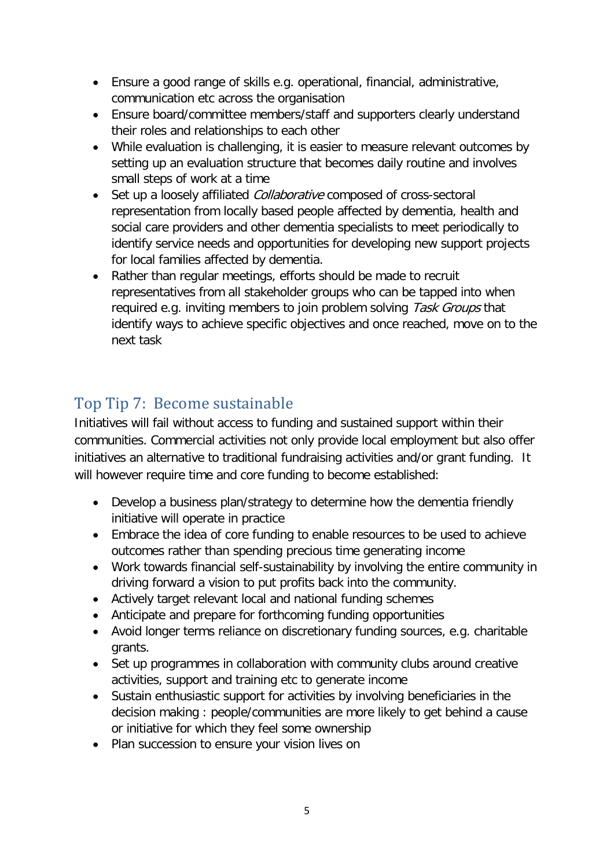- Ensure a good range of skills e.g. operational, financial, administrative, communication etc across the organisation
- Ensure board/committee members/staff and supporters clearly understand their roles and relationships to each other
- While evaluation is challenging, it is easier to measure relevant outcomes by setting up an evaluation structure that becomes daily routine and involves small steps of work at a time
- Set up a loosely affiliated *Collaborative* composed of cross-sectoral representation from locally based people affected by dementia, health and social care providers and other dementia specialists to meet periodically to identify service needs and opportunities for developing new support projects for local families affected by dementia.
- Rather than regular meetings, efforts should be made to recruit representatives from all stakeholder groups who can be tapped into when required e.g. inviting members to join problem solving Task Groups that identify ways to achieve specific objectives and once reached, move on to the next task

## Top Tip 7: Become sustainable

Initiatives will fail without access to funding and sustained support within their communities. Commercial activities not only provide local employment but also offer initiatives an alternative to traditional fundraising activities and/or grant funding. It will however require time and core funding to become established:

- Develop a business plan/strategy to determine how the dementia friendly initiative will operate in practice
- Embrace the idea of core funding to enable resources to be used to achieve outcomes rather than spending precious time generating income
- Work towards financial self-sustainability by involving the entire community in driving forward a vision to put profits back into the community.
- Actively target relevant local and national funding schemes
- Anticipate and prepare for forthcoming funding opportunities
- Avoid longer terms reliance on discretionary funding sources, e.g. charitable grants.
- Set up programmes in collaboration with community clubs around creative activities, support and training etc to generate income
- Sustain enthusiastic support for activities by involving beneficiaries in the decision making : people/communities are more likely to get behind a cause or initiative for which they feel some ownership
- Plan succession to ensure your vision lives on